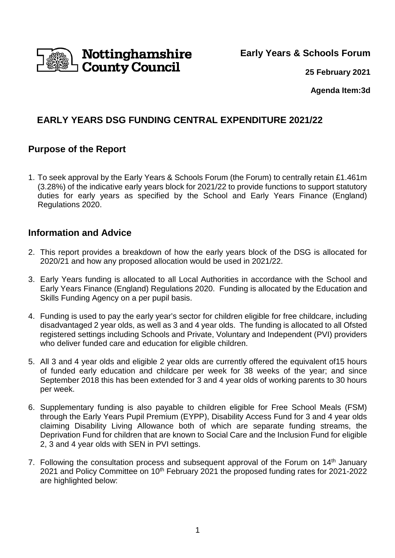

**Early Years & Schools Forum**

**25 February 2021**

**Agenda Item:3d** 

# **EARLY YEARS DSG FUNDING CENTRAL EXPENDITURE 2021/22**

## **Purpose of the Report**

1. To seek approval by the Early Years & Schools Forum (the Forum) to centrally retain £1.461m (3.28%) of the indicative early years block for 2021/22 to provide functions to support statutory duties for early years as specified by the School and Early Years Finance (England) Regulations 2020.

## **Information and Advice**

- 2. This report provides a breakdown of how the early years block of the DSG is allocated for 2020/21 and how any proposed allocation would be used in 2021/22.
- 3. Early Years funding is allocated to all Local Authorities in accordance with the School and Early Years Finance (England) Regulations 2020. Funding is allocated by the Education and Skills Funding Agency on a per pupil basis.
- 4. Funding is used to pay the early year's sector for children eligible for free childcare, including disadvantaged 2 year olds, as well as 3 and 4 year olds. The funding is allocated to all Ofsted registered settings including Schools and Private, Voluntary and Independent (PVI) providers who deliver funded care and education for eligible children.
- 5. All 3 and 4 year olds and eligible 2 year olds are currently offered the equivalent of15 hours of funded early education and childcare per week for 38 weeks of the year; and since September 2018 this has been extended for 3 and 4 year olds of working parents to 30 hours per week.
- 6. Supplementary funding is also payable to children eligible for Free School Meals (FSM) through the Early Years Pupil Premium (EYPP), Disability Access Fund for 3 and 4 year olds claiming Disability Living Allowance both of which are separate funding streams, the Deprivation Fund for children that are known to Social Care and the Inclusion Fund for eligible 2, 3 and 4 year olds with SEN in PVI settings.
- 7. Following the consultation process and subsequent approval of the Forum on  $14<sup>th</sup>$  January 2021 and Policy Committee on 10<sup>th</sup> February 2021 the proposed funding rates for 2021-2022 are highlighted below: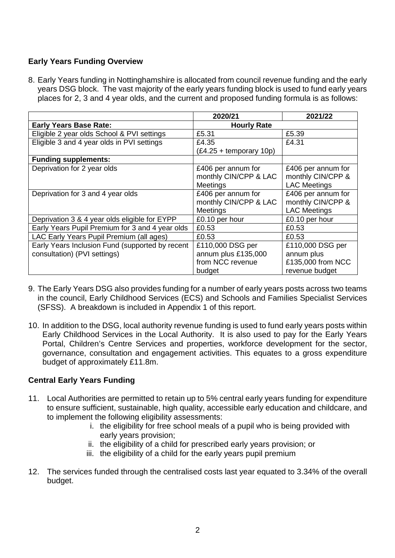### **Early Years Funding Overview**

8. Early Years funding in Nottinghamshire is allocated from council revenue funding and the early years DSG block. The vast majority of the early years funding block is used to fund early years places for 2, 3 and 4 year olds, and the current and proposed funding formula is as follows:

|                                                 | 2020/21                   | 2021/22             |
|-------------------------------------------------|---------------------------|---------------------|
| <b>Early Years Base Rate:</b>                   | <b>Hourly Rate</b>        |                     |
| Eligible 2 year olds School & PVI settings      | £5.31                     | £5.39               |
| Eligible 3 and 4 year olds in PVI settings      | £4.35                     | £4.31               |
|                                                 | $(£4.25 + temporary 10p)$ |                     |
| <b>Funding supplements:</b>                     |                           |                     |
| Deprivation for 2 year olds                     | £406 per annum for        | £406 per annum for  |
|                                                 | monthly CIN/CPP & LAC     | monthly CIN/CPP &   |
|                                                 | Meetings                  | <b>LAC Meetings</b> |
| Deprivation for 3 and 4 year olds               | £406 per annum for        | £406 per annum for  |
|                                                 | monthly CIN/CPP & LAC     | monthly CIN/CPP &   |
|                                                 | <b>Meetings</b>           | <b>LAC Meetings</b> |
| Deprivation 3 & 4 year olds eligible for EYPP   | £0.10 per hour            | £0.10 per hour      |
| Early Years Pupil Premium for 3 and 4 year olds | £0.53                     | £0.53               |
| LAC Early Years Pupil Premium (all ages)        | £0.53                     | £0.53               |
| Early Years Inclusion Fund (supported by recent | £110,000 DSG per          | £110,000 DSG per    |
| consultation) (PVI settings)                    | annum plus £135,000       | annum plus          |
|                                                 | from NCC revenue          | £135,000 from NCC   |
|                                                 | budget                    | revenue budget      |

- 9. The Early Years DSG also provides funding for a number of early years posts across two teams in the council, Early Childhood Services (ECS) and Schools and Families Specialist Services (SFSS). A breakdown is included in Appendix 1 of this report.
- 10. In addition to the DSG, local authority revenue funding is used to fund early years posts within Early Childhood Services in the Local Authority. It is also used to pay for the Early Years Portal, Children's Centre Services and properties, workforce development for the sector, governance, consultation and engagement activities. This equates to a gross expenditure budget of approximately £11.8m.

### **Central Early Years Funding**

- 11. Local Authorities are permitted to retain up to 5% central early years funding for expenditure to ensure sufficient, sustainable, high quality, accessible early education and childcare, and to implement the following eligibility assessments:
	- i. the eligibility for free school meals of a pupil who is being provided with early years provision;
	- ii. the eligibility of a child for prescribed early years provision; or
	- iii. the eligibility of a child for the early years pupil premium
- 12. The services funded through the centralised costs last year equated to 3.34% of the overall budget.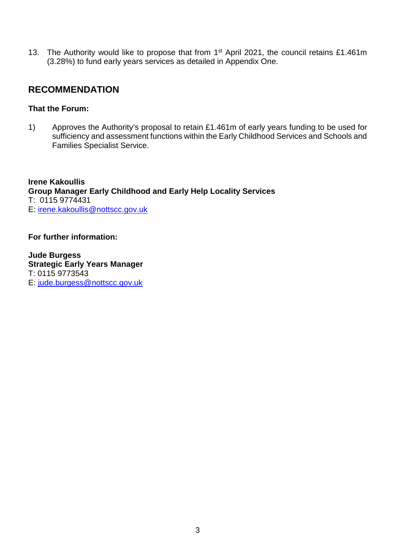13. The Authority would like to propose that from 1<sup>st</sup> April 2021, the council retains £1.461m (3.28%) to fund early years services as detailed in Appendix One.

## **RECOMMENDATION**

#### **That the Forum:**

1) Approves the Authority's proposal to retain £1.461m of early years funding to be used for sufficiency and assessment functions within the Early Childhood Services and Schools and Families Specialist Service.

**Irene Kakoullis Group Manager Early Childhood and Early Help Locality Services**  T: 0115 9774431 E: irene.kakoullis@nottscc.gov.uk

**For further information:** 

**Jude Burgess Strategic Early Years Manager**  T: 0115 9773543 E: jude.burgess@nottscc.gov.uk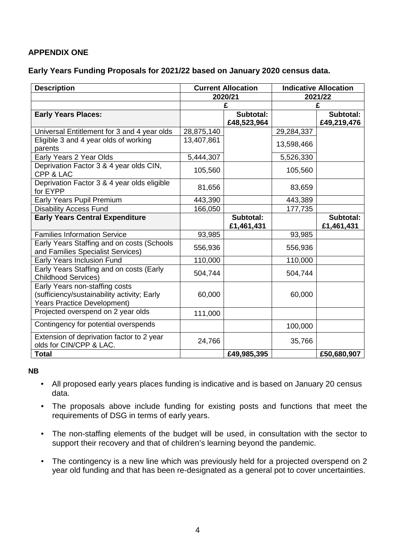### **APPENDIX ONE**

#### **Early Years Funding Proposals for 2021/22 based on January 2020 census data.**

| <b>Description</b>                                                                                                  | <b>Current Allocation</b> |                         | <b>Indicative Allocation</b> |                         |  |
|---------------------------------------------------------------------------------------------------------------------|---------------------------|-------------------------|------------------------------|-------------------------|--|
|                                                                                                                     |                           | 2020/21                 |                              | 2021/22                 |  |
|                                                                                                                     | £                         |                         | £                            |                         |  |
| <b>Early Years Places:</b>                                                                                          |                           | Subtotal:               |                              | Subtotal:               |  |
|                                                                                                                     |                           | £48,523,964             |                              | £49,219,476             |  |
| Universal Entitlement for 3 and 4 year olds                                                                         | 28,875,140                |                         | 29,284,337                   |                         |  |
| Eligible 3 and 4 year olds of working<br>parents                                                                    | 13,407,861                |                         | 13,598,466                   |                         |  |
| Early Years 2 Year Olds                                                                                             | 5,444,307                 |                         | 5,526,330                    |                         |  |
| Deprivation Factor 3 & 4 year olds CIN,<br>CPP & LAC                                                                | 105,560                   |                         | 105,560                      |                         |  |
| Deprivation Factor 3 & 4 year olds eligible<br>for EYPP                                                             | 81,656                    |                         | 83,659                       |                         |  |
| Early Years Pupil Premium                                                                                           | 443,390                   |                         | 443,389                      |                         |  |
| <b>Disability Access Fund</b>                                                                                       | 166,050                   |                         | 177,735                      |                         |  |
| <b>Early Years Central Expenditure</b>                                                                              |                           | Subtotal:<br>£1,461,431 |                              | Subtotal:<br>£1,461,431 |  |
| <b>Families Information Service</b>                                                                                 | 93,985                    |                         | 93,985                       |                         |  |
| Early Years Staffing and on costs (Schools<br>and Families Specialist Services)                                     | 556,936                   |                         | 556,936                      |                         |  |
| Early Years Inclusion Fund                                                                                          | 110,000                   |                         | 110,000                      |                         |  |
| Early Years Staffing and on costs (Early<br><b>Childhood Services)</b>                                              | 504,744                   |                         | 504,744                      |                         |  |
| Early Years non-staffing costs<br>(sufficiency/sustainability activity; Early<br><b>Years Practice Development)</b> | 60,000                    |                         | 60,000                       |                         |  |
| Projected overspend on 2 year olds                                                                                  | 111,000                   |                         |                              |                         |  |
| Contingency for potential overspends                                                                                |                           |                         | 100,000                      |                         |  |
| Extension of deprivation factor to 2 year<br>olds for CIN/CPP & LAC.                                                | 24,766                    |                         | 35,766                       |                         |  |
| <b>Total</b>                                                                                                        |                           | £49,985,395             |                              | £50,680,907             |  |

#### **NB**

- All proposed early years places funding is indicative and is based on January 20 census data.
- The proposals above include funding for existing posts and functions that meet the requirements of DSG in terms of early years.
- The non-staffing elements of the budget will be used, in consultation with the sector to support their recovery and that of children's learning beyond the pandemic.
- The contingency is a new line which was previously held for a projected overspend on 2 year old funding and that has been re-designated as a general pot to cover uncertainties.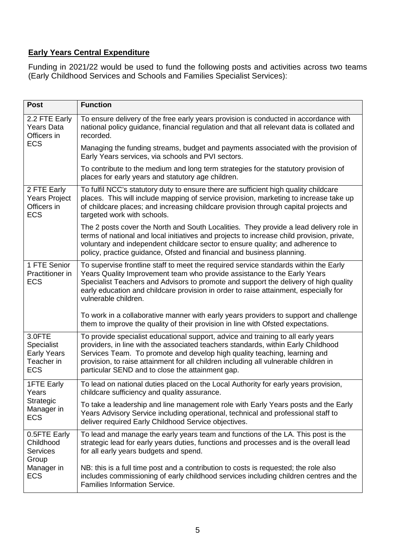## **Early Years Central Expenditure**

Funding in 2021/22 would be used to fund the following posts and activities across two teams (Early Childhood Services and Schools and Families Specialist Services):

| <b>Post</b>                                                                | <b>Function</b>                                                                                                                                                                                                                                                                                                                                                                                 |
|----------------------------------------------------------------------------|-------------------------------------------------------------------------------------------------------------------------------------------------------------------------------------------------------------------------------------------------------------------------------------------------------------------------------------------------------------------------------------------------|
| 2.2 FTE Early<br><b>Years Data</b><br>Officers in<br><b>ECS</b>            | To ensure delivery of the free early years provision is conducted in accordance with<br>national policy guidance, financial regulation and that all relevant data is collated and<br>recorded.                                                                                                                                                                                                  |
|                                                                            | Managing the funding streams, budget and payments associated with the provision of<br>Early Years services, via schools and PVI sectors.                                                                                                                                                                                                                                                        |
|                                                                            | To contribute to the medium and long term strategies for the statutory provision of<br>places for early years and statutory age children.                                                                                                                                                                                                                                                       |
| 2 FTE Early<br><b>Years Project</b><br>Officers in<br><b>ECS</b>           | To fulfil NCC's statutory duty to ensure there are sufficient high quality childcare<br>places. This will include mapping of service provision, marketing to increase take up<br>of childcare places; and increasing childcare provision through capital projects and<br>targeted work with schools.                                                                                            |
|                                                                            | The 2 posts cover the North and South Localities. They provide a lead delivery role in<br>terms of national and local initiatives and projects to increase child provision, private,<br>voluntary and independent childcare sector to ensure quality; and adherence to<br>policy, practice guidance, Ofsted and financial and business planning.                                                |
| 1 FTE Senior<br>Practitioner in<br><b>ECS</b>                              | To supervise frontline staff to meet the required service standards within the Early<br>Years Quality Improvement team who provide assistance to the Early Years<br>Specialist Teachers and Advisors to promote and support the delivery of high quality<br>early education and childcare provision in order to raise attainment, especially for<br>vulnerable children.                        |
|                                                                            | To work in a collaborative manner with early years providers to support and challenge<br>them to improve the quality of their provision in line with Ofsted expectations.                                                                                                                                                                                                                       |
| 3.0FTE<br>Specialist<br><b>Early Years</b><br>Teacher in<br><b>ECS</b>     | To provide specialist educational support, advice and training to all early years<br>providers, in line with the associated teachers standards, within Early Childhood<br>Services Team. To promote and develop high quality teaching, learning and<br>provision, to raise attainment for all children including all vulnerable children in<br>particular SEND and to close the attainment gap. |
| <b>1FTE Early</b><br>Years<br>Strategic<br>Manager in<br><b>ECS</b>        | To lead on national duties placed on the Local Authority for early years provision,<br>childcare sufficiency and quality assurance.                                                                                                                                                                                                                                                             |
|                                                                            | To take a leadership and line management role with Early Years posts and the Early<br>Years Advisory Service including operational, technical and professional staff to<br>deliver required Early Childhood Service objectives.                                                                                                                                                                 |
| 0.5FTE Early<br>Childhood<br><b>Services</b><br>Group<br>Manager in<br>ECS | To lead and manage the early years team and functions of the LA. This post is the<br>strategic lead for early years duties, functions and processes and is the overall lead<br>for all early years budgets and spend.                                                                                                                                                                           |
|                                                                            | NB: this is a full time post and a contribution to costs is requested; the role also<br>includes commissioning of early childhood services including children centres and the<br><b>Families Information Service.</b>                                                                                                                                                                           |